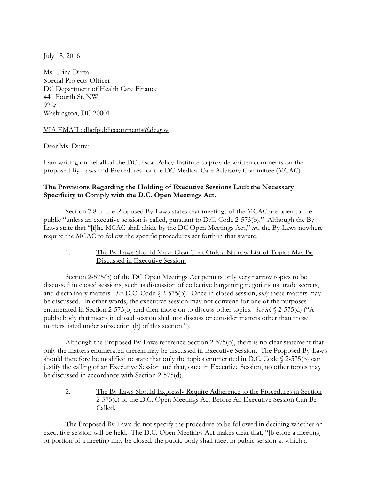July 15, 2016

Ms. Trina Dutta Special Projects Officer DC Department of Health Care Finance 441 Fourth St. NW  $922a$ Washington, DC 20001

## VIA EMAIL: dhcfpubliccomments@dc.gov

Dear Ms. Dutta:

I am writing on behalf of the DC Fiscal Policy Institute to provide written comments on the proposed By-Laws and Procedures for the DC Medical Care Advisory Committee (MCAC).

## **The Provisions Regarding the Holding of Executive Sessions Lack the Necessary Specificity to Comply with the D.C. Open Meetings Act.**

Section 7.8 of the Proposed By-Laws states that meetings of the MCAC are open to the public "unless an executive session is called, pursuant to D.C. Code 2-575(b)." Although the By-Laws state that "[t]he MCAC shall abide by the DC Open Meetings Act," *id.*, the By-Laws nowhere require the MCAC to follow the specific procedures set forth in that statute.

1. The By-Laws Should Make Clear That Only a Narrow List of Topics May Be Discussed in Executive Session.

Section 2-575(b) of the DC Open Meetings Act permits only very narrow topics to be discussed in closed sessions, such as discussion of collective bargaining negotiations, trade secrets, and disciplinary matters. *See* D.C. Code § 2-575(b). Once in closed session, *only* these matters may be discussed. In other words, the executive session may not convene for one of the purposes enumerated in Section 2-575(b) and then move on to discuss other topics. *See id.* § 2-575(d) ("A public body that meets in closed session shall not discuss or consider matters other than those matters listed under subsection (b) of this section.").

Although the Proposed By-Laws reference Section 2-575(b), there is no clear statement that only the matters enumerated therein may be discussed in Executive Session. The Proposed By-Laws should therefore be modified to state that only the topics enumerated in D.C. Code § 2-575(b) can justify the calling of an Executive Session and that, once in Executive Session, no other topics may be discussed in accordance with Section 2-575(d).

2. The By-Laws Should Expressly Require Adherence to the Procedures in Section 2-575(c) of the D.C. Open Meetings Act Before An Executive Session Can Be Called.

The Proposed By-Laws do not specify the procedure to be followed in deciding whether an executive session will be held. The D.C. Open Meetings Act makes clear that, "[b]efore a meeting or portion of a meeting may be closed, the public body shall meet in public session at which a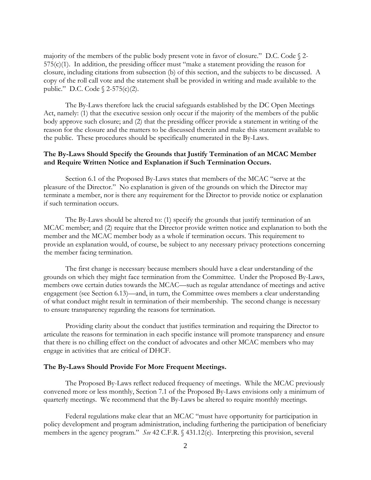majority of the members of the public body present vote in favor of closure." D.C. Code  $\S$  2-575(c)(1). In addition, the presiding officer must "make a statement providing the reason for closure, including citations from subsection (b) of this section, and the subjects to be discussed. A copy of the roll call vote and the statement shall be provided in writing and made available to the public." D.C. Code § 2-575(c)(2).

The By-Laws therefore lack the crucial safeguards established by the DC Open Meetings Act, namely: (1) that the executive session only occur if the majority of the members of the public body approve such closure; and (2) that the presiding officer provide a statement in writing of the reason for the closure and the matters to be discussed therein and make this statement available to the public. These procedures should be specifically enumerated in the By-Laws.

## **The By-Laws Should Specify the Grounds that Justify Termination of an MCAC Member and Require Written Notice and Explanation if Such Termination Occurs.**

Section 6.1 of the Proposed By-Laws states that members of the MCAC "serve at the pleasure of the Director." No explanation is given of the grounds on which the Director may terminate a member, nor is there any requirement for the Director to provide notice or explanation if such termination occurs.

The By-Laws should be altered to: (1) specify the grounds that justify termination of an MCAC member; and (2) require that the Director provide written notice and explanation to both the member and the MCAC member body as a whole if termination occurs. This requirement to provide an explanation would, of course, be subject to any necessary privacy protections concerning the member facing termination.

The first change is necessary because members should have a clear understanding of the grounds on which they might face termination from the Committee. Under the Proposed By-Laws, members owe certain duties towards the MCAC—such as regular attendance of meetings and active engagement (see Section 6.13)—and, in turn, the Committee owes members a clear understanding of what conduct might result in termination of their membership. The second change is necessary to ensure transparency regarding the reasons for termination.

Providing clarity about the conduct that justifies termination and requiring the Director to articulate the reasons for termination in each specific instance will promote transparency and ensure that there is no chilling effect on the conduct of advocates and other MCAC members who may engage in activities that are critical of DHCF.

## **The By-Laws Should Provide For More Frequent Meetings.**

The Proposed By-Laws reflect reduced frequency of meetings. While the MCAC previously convened more or less monthly, Section 7.1 of the Proposed By-Laws envisions only a minimum of quarterly meetings. We recommend that the By-Laws be altered to require monthly meetings.

Federal regulations make clear that an MCAC "must have opportunity for participation in policy development and program administration, including furthering the participation of beneficiary members in the agency program." *See* 42 C.F.R. § 431.12(e). Interpreting this provision, several